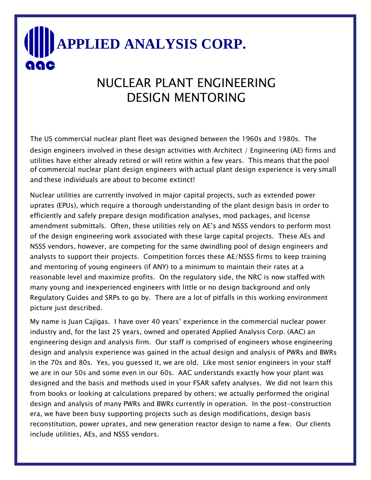## **APPLIED ANALYSIS CORP.** aac

## NUCLEAR PLANT ENGINEERING DESIGN MENTORING

The US commercial nuclear plant fleet was designed between the 1960s and 1980s. The design engineers involved in these design activities with Architect / Engineering (AE) firms and utilities have either already retired or will retire within a few years. This means that the pool of commercial nuclear plant design engineers with actual plant design experience is very small and these individuals are about to become extinct!

Nuclear utilities are currently involved in major capital projects, such as extended power uprates (EPUs), which require a thorough understanding of the plant design basis in order to efficiently and safely prepare design modification analyses, mod packages, and license amendment submittals. Often, these utilities rely on AE's and NSSS vendors to perform most of the design engineering work associated with these large capital projects. These AEs and NSSS vendors, however, are competing for the same dwindling pool of design engineers and analysts to support their projects. Competition forces these AE/NSSS firms to keep training and mentoring of young engineers (if ANY) to a minimum to maintain their rates at a reasonable level and maximize profits. On the regulatory side, the NRC is now staffed with many young and inexperienced engineers with little or no design background and only Regulatory Guides and SRPs to go by. There are a lot of pitfalls in this working environment picture just described.

My name is Juan Cajigas. I have over 40 years' experience in the commercial nuclear power industry and, for the last 25 years, owned and operated Applied Analysis Corp. (AAC) an engineering design and analysis firm. Our staff is comprised of engineers whose engineering design and analysis experience was gained in the actual design and analysis of PWRs and BWRs in the 70s and 80s. Yes, you guessed it, we are old. Like most senior engineers in your staff we are in our 50s and some even in our 60s. AAC understands exactly how your plant was designed and the basis and methods used in your FSAR safety analyses. We did not learn this from books or looking at calculations prepared by others; we actually performed the original design and analysis of many PWRs and BWRs currently in operation. In the post-construction era, we have been busy supporting projects such as design modifications, design basis reconstitution, power uprates, and new generation reactor design to name a few. Our clients include utilities, AEs, and NSSS vendors.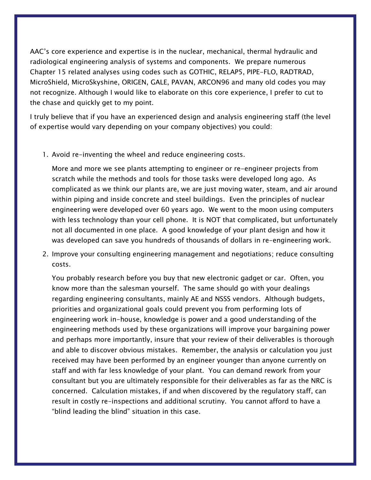AAC's core experience and expertise is in the nuclear, mechanical, thermal hydraulic and radiological engineering analysis of systems and components. We prepare numerous Chapter 15 related analyses using codes such as GOTHIC, RELAP5, PIPE-FLO, RADTRAD, MicroShield, MicroSkyshine, ORIGEN, GALE, PAVAN, ARCON96 and many old codes you may not recognize. Although I would like to elaborate on this core experience, I prefer to cut to the chase and quickly get to my point.

I truly believe that if you have an experienced design and analysis engineering staff (the level of expertise would vary depending on your company objectives) you could:

1. Avoid re-inventing the wheel and reduce engineering costs.

More and more we see plants attempting to engineer or re-engineer projects from scratch while the methods and tools for those tasks were developed long ago. As complicated as we think our plants are, we are just moving water, steam, and air around within piping and inside concrete and steel buildings. Even the principles of nuclear engineering were developed over 60 years ago. We went to the moon using computers with less technology than your cell phone. It is NOT that complicated, but unfortunately not all documented in one place. A good knowledge of your plant design and how it was developed can save you hundreds of thousands of dollars in re-engineering work.

2. Improve your consulting engineering management and negotiations; reduce consulting costs.

You probably research before you buy that new electronic gadget or car. Often, you know more than the salesman yourself. The same should go with your dealings regarding engineering consultants, mainly AE and NSSS vendors. Although budgets, priorities and organizational goals could prevent you from performing lots of engineering work in-house, knowledge is power and a good understanding of the engineering methods used by these organizations will improve your bargaining power and perhaps more importantly, insure that your review of their deliverables is thorough and able to discover obvious mistakes. Remember, the analysis or calculation you just received may have been performed by an engineer younger than anyone currently on staff and with far less knowledge of your plant. You can demand rework from your consultant but you are ultimately responsible for their deliverables as far as the NRC is concerned. Calculation mistakes, if and when discovered by the regulatory staff, can result in costly re-inspections and additional scrutiny. You cannot afford to have a "blind leading the blind" situation in this case.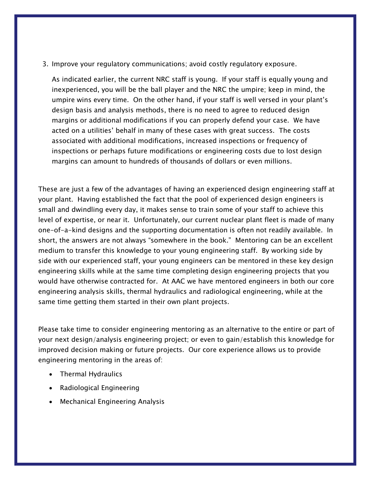3. Improve your regulatory communications; avoid costly regulatory exposure.

As indicated earlier, the current NRC staff is young. If your staff is equally young and inexperienced, you will be the ball player and the NRC the umpire; keep in mind, the umpire wins every time. On the other hand, if your staff is well versed in your plant's design basis and analysis methods, there is no need to agree to reduced design margins or additional modifications if you can properly defend your case. We have acted on a utilities' behalf in many of these cases with great success. The costs associated with additional modifications, increased inspections or frequency of inspections or perhaps future modifications or engineering costs due to lost design margins can amount to hundreds of thousands of dollars or even millions.

These are just a few of the advantages of having an experienced design engineering staff at your plant. Having established the fact that the pool of experienced design engineers is small and dwindling every day, it makes sense to train some of your staff to achieve this level of expertise, or near it. Unfortunately, our current nuclear plant fleet is made of many one-of-a-kind designs and the supporting documentation is often not readily available. In short, the answers are not always "somewhere in the book." Mentoring can be an excellent medium to transfer this knowledge to your young engineering staff. By working side by side with our experienced staff, your young engineers can be mentored in these key design engineering skills while at the same time completing design engineering projects that you would have otherwise contracted for. At AAC we have mentored engineers in both our core engineering analysis skills, thermal hydraulics and radiological engineering, while at the same time getting them started in their own plant projects.

Please take time to consider engineering mentoring as an alternative to the entire or part of your next design/analysis engineering project; or even to gain/establish this knowledge for improved decision making or future projects. Our core experience allows us to provide engineering mentoring in the areas of:

- Thermal Hydraulics
- Radiological Engineering
- Mechanical Engineering Analysis